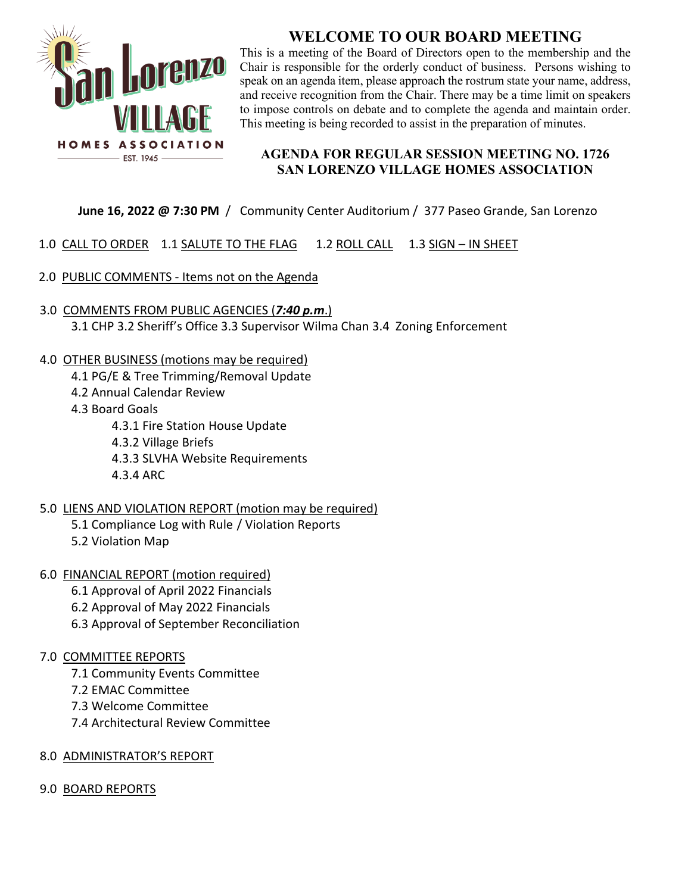

# **WELCOME TO OUR BOARD MEETING**

This is a meeting of the Board of Directors open to the membership and the Chair is responsible for the orderly conduct of business. Persons wishing to speak on an agenda item, please approach the rostrum state your name, address, and receive recognition from the Chair. There may be a time limit on speakers to impose controls on debate and to complete the agenda and maintain order. This meeting is being recorded to assist in the preparation of minutes.

### **AGENDA FOR REGULAR SESSION MEETING NO. 1726 SAN LORENZO VILLAGE HOMES ASSOCIATION**

## **June 16, 2022 @ 7:30 PM** /Community Center Auditorium / 377 Paseo Grande, San Lorenzo

- 1.0 CALL TO ORDER 1.1 SALUTE TO THE FLAG 1.2 ROLL CALL 1.3 SIGN IN SHEET
- 2.0 PUBLIC COMMENTS Items not on the Agenda
- 3.0 COMMENTS FROM PUBLIC AGENCIES (*7:40 p.m*.) 3.1 CHP 3.2 Sheriff's Office 3.3 Supervisor Wilma Chan 3.4 Zoning Enforcement
- 4.0 OTHER BUSINESS (motions may be required)
	- 4.1 PG/E & Tree Trimming/Removal Update
	- 4.2 Annual Calendar Review
	- 4.3 Board Goals
		- 4.3.1 Fire Station House Update
		- 4.3.2 Village Briefs
		- 4.3.3 SLVHA Website Requirements
		- 4.3.4 ARC
- 5.0 LIENS AND VIOLATION REPORT (motion may be required)
	- 5.1 Compliance Log with Rule / Violation Reports
	- 5.2 Violation Map

6.0 FINANCIAL REPORT (motion required)

- 6.1 Approval of April 2022 Financials
- 6.2 Approval of May 2022 Financials
- 6.3 Approval of September Reconciliation

## 7.0 COMMITTEE REPORTS

- 7.1 Community Events Committee
- 7.2 EMAC Committee
- 7.3 Welcome Committee
- 7.4 Architectural Review Committee
- 8.0 ADMINISTRATOR'S REPORT
- 9.0 BOARD REPORTS